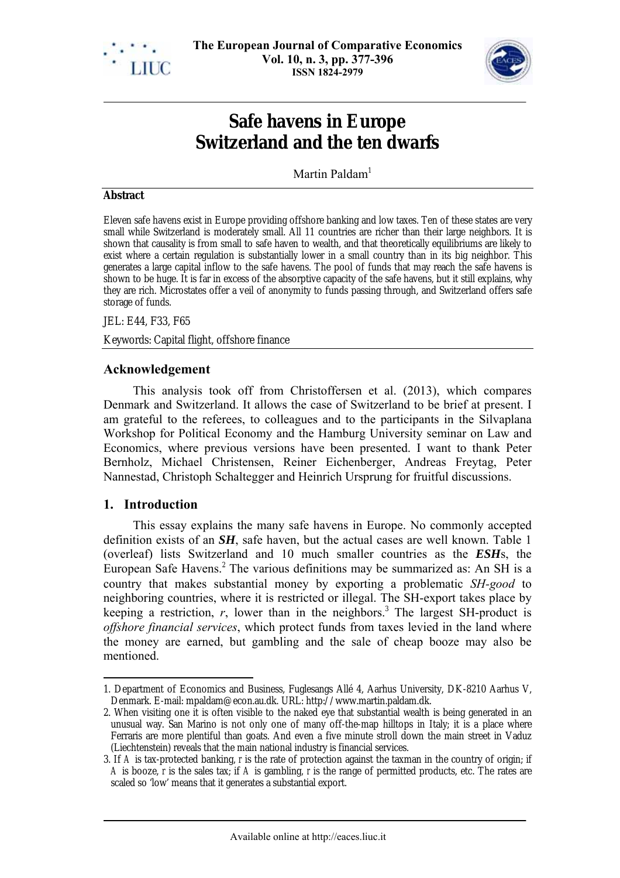



# **Safe havens in Europe Switzerland and the ten dwarfs**

Martin Paldam<sup>1</sup>

#### **Abstract**

Eleven safe havens exist in Europe providing offshore banking and low taxes. Ten of these states are very small while Switzerland is moderately small. All 11 countries are richer than their large neighbors. It is shown that causality is from small to safe haven to wealth, and that theoretically equilibriums are likely to exist where a certain regulation is substantially lower in a small country than in its big neighbor. This generates a large capital inflow to the safe havens. The pool of funds that may reach the safe havens is shown to be huge. It is far in excess of the absorptive capacity of the safe havens, but it still explains, why they are rich. Microstates offer a veil of anonymity to funds passing through, and Switzerland offers safe storage of funds.

JEL: E44, F33, F65

Keywords: Capital flight, offshore finance

#### **Acknowledgement**

This analysis took off from Christoffersen et al. (2013), which compares Denmark and Switzerland. It allows the case of Switzerland to be brief at present. I am grateful to the referees, to colleagues and to the participants in the Silvaplana Workshop for Political Economy and the Hamburg University seminar on Law and Economics, where previous versions have been presented. I want to thank Peter Bernholz, Michael Christensen, Reiner Eichenberger, Andreas Freytag, Peter Nannestad, Christoph Schaltegger and Heinrich Ursprung for fruitful discussions.

#### **1. Introduction**

 $\overline{a}$ 

This essay explains the many safe havens in Europe. No commonly accepted definition exists of an *SH*, safe haven, but the actual cases are well known. Table 1 (overleaf) lists Switzerland and 10 much smaller countries as the *ESH*s, the European Safe Havens.<sup>2</sup> The various definitions may be summarized as: An SH is a country that makes substantial money by exporting a problematic *SH-good* to neighboring countries, where it is restricted or illegal. The SH-export takes place by keeping a restriction,  $r$ , lower than in the neighbors.<sup>3</sup> The largest SH-product is *offshore financial services*, which protect funds from taxes levied in the land where the money are earned, but gambling and the sale of cheap booze may also be mentioned.

<sup>1.</sup> Department of Economics and Business, Fuglesangs Allé 4, Aarhus University, DK-8210 Aarhus V, Denmark. E-mail: mpaldam@econ.au.dk. URL: http://www.martin.paldam.dk.

<sup>2.</sup> When visiting one it is often visible to the naked eye that substantial wealth is being generated in an unusual way. San Marino is not only one of many off-the-map hilltops in Italy; it is a place where Ferraris are more plentiful than goats. And even a five minute stroll down the main street in Vaduz (Liechtenstein) reveals that the main national industry is financial services.

<sup>3.</sup> If *A* is tax-protected banking, *r* is the rate of protection against the taxman in the country of origin; if *A* is booze, *r* is the sales tax; if *A* is gambling, *r* is the range of permitted products, etc. The rates are scaled so 'low' means that it generates a substantial export.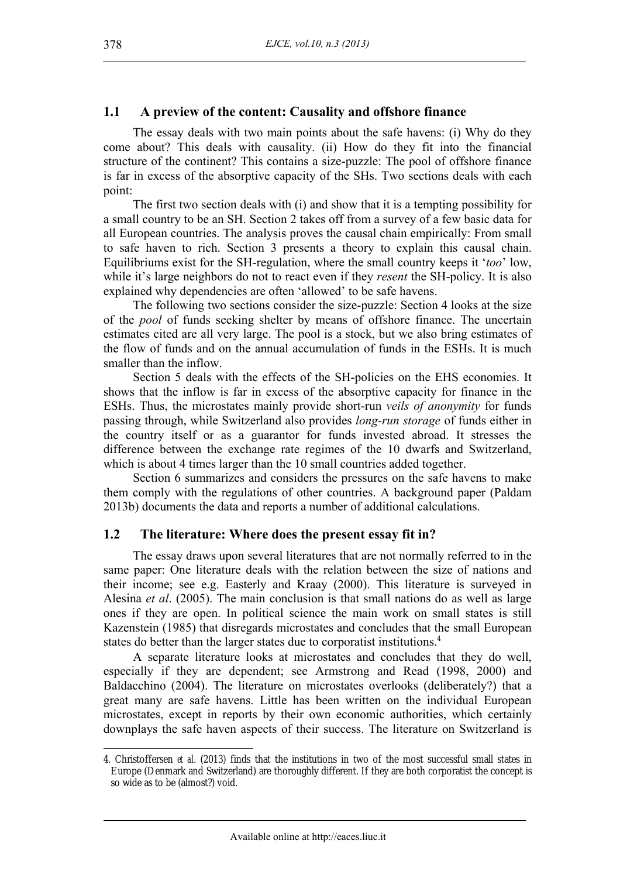## **1.1 A preview of the content: Causality and offshore finance**

The essay deals with two main points about the safe havens: (i) Why do they come about? This deals with causality. (ii) How do they fit into the financial structure of the continent? This contains a size-puzzle: The pool of offshore finance is far in excess of the absorptive capacity of the SHs. Two sections deals with each point:

The first two section deals with (i) and show that it is a tempting possibility for a small country to be an SH. Section 2 takes off from a survey of a few basic data for all European countries. The analysis proves the causal chain empirically: From small to safe haven to rich. Section 3 presents a theory to explain this causal chain. Equilibriums exist for the SH-regulation, where the small country keeps it '*too*' low, while it's large neighbors do not to react even if they *resent* the SH-policy. It is also explained why dependencies are often 'allowed' to be safe havens.

The following two sections consider the size-puzzle: Section 4 looks at the size of the *pool* of funds seeking shelter by means of offshore finance. The uncertain estimates cited are all very large. The pool is a stock, but we also bring estimates of the flow of funds and on the annual accumulation of funds in the ESHs. It is much smaller than the inflow.

Section 5 deals with the effects of the SH-policies on the EHS economies. It shows that the inflow is far in excess of the absorptive capacity for finance in the ESHs. Thus, the microstates mainly provide short-run *veils of anonymity* for funds passing through, while Switzerland also provides *long-run storage* of funds either in the country itself or as a guarantor for funds invested abroad. It stresses the difference between the exchange rate regimes of the 10 dwarfs and Switzerland, which is about 4 times larger than the 10 small countries added together.

Section 6 summarizes and considers the pressures on the safe havens to make them comply with the regulations of other countries. A background paper (Paldam 2013b) documents the data and reports a number of additional calculations.

#### **1.2 The literature: Where does the present essay fit in?**

The essay draws upon several literatures that are not normally referred to in the same paper: One literature deals with the relation between the size of nations and their income; see e.g. Easterly and Kraay (2000). This literature is surveyed in Alesina *et al*. (2005). The main conclusion is that small nations do as well as large ones if they are open. In political science the main work on small states is still Kazenstein (1985) that disregards microstates and concludes that the small European states do better than the larger states due to corporatist institutions.<sup>4</sup>

A separate literature looks at microstates and concludes that they do well, especially if they are dependent; see Armstrong and Read (1998, 2000) and Baldacchino (2004). The literature on microstates overlooks (deliberately?) that a great many are safe havens. Little has been written on the individual European microstates, except in reports by their own economic authorities, which certainly downplays the safe haven aspects of their success. The literature on Switzerland is

<sup>4.</sup> Christoffersen *et al*. (2013) finds that the institutions in two of the most successful small states in Europe (Denmark and Switzerland) are thoroughly different. If they are both corporatist the concept is so wide as to be (almost?) void.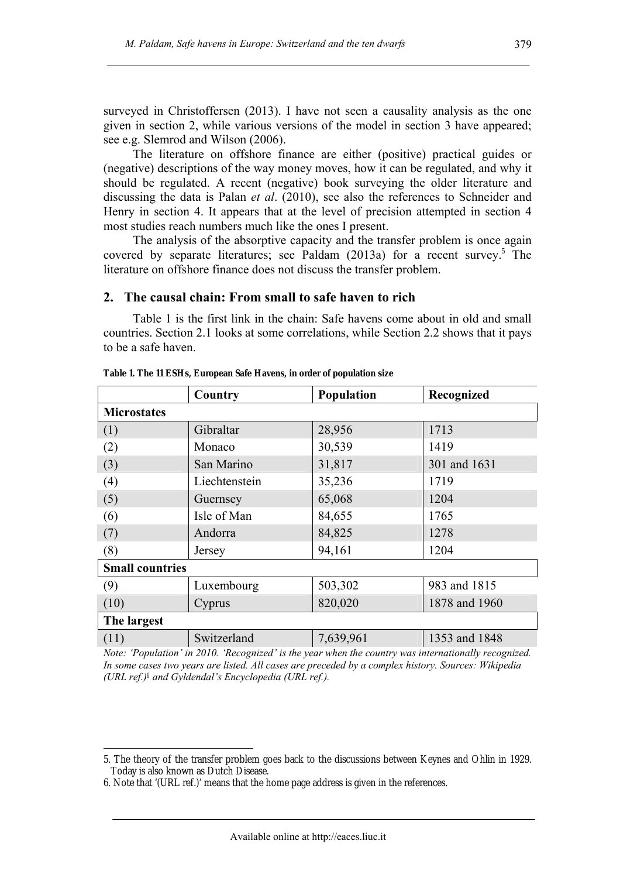surveyed in Christoffersen (2013). I have not seen a causality analysis as the one given in section 2, while various versions of the model in section 3 have appeared; see e.g. Slemrod and Wilson (2006).

The literature on offshore finance are either (positive) practical guides or (negative) descriptions of the way money moves, how it can be regulated, and why it should be regulated. A recent (negative) book surveying the older literature and discussing the data is Palan *et al*. (2010), see also the references to Schneider and Henry in section 4. It appears that at the level of precision attempted in section 4 most studies reach numbers much like the ones I present.

The analysis of the absorptive capacity and the transfer problem is once again covered by separate literatures; see Paldam  $(2013a)$  for a recent survey.<sup>5</sup> The literature on offshore finance does not discuss the transfer problem.

## **2. The causal chain: From small to safe haven to rich**

Table 1 is the first link in the chain: Safe havens come about in old and small countries. Section 2.1 looks at some correlations, while Section 2.2 shows that it pays to be a safe haven.

|                        | Country       | Population | Recognized    |  |  |  |  |  |
|------------------------|---------------|------------|---------------|--|--|--|--|--|
| <b>Microstates</b>     |               |            |               |  |  |  |  |  |
| (1)                    | Gibraltar     | 28,956     | 1713          |  |  |  |  |  |
| (2)                    | Monaco        | 30,539     | 1419          |  |  |  |  |  |
| (3)                    | San Marino    | 31,817     | 301 and 1631  |  |  |  |  |  |
| (4)                    | Liechtenstein | 35,236     | 1719          |  |  |  |  |  |
| (5)                    | Guernsey      | 65,068     | 1204          |  |  |  |  |  |
| (6)                    | Isle of Man   | 84,655     | 1765          |  |  |  |  |  |
| (7)                    | Andorra       | 84,825     | 1278          |  |  |  |  |  |
| (8)                    | Jersey        | 94,161     | 1204          |  |  |  |  |  |
| <b>Small countries</b> |               |            |               |  |  |  |  |  |
| (9)                    | Luxembourg    | 503,302    | 983 and 1815  |  |  |  |  |  |
| (10)                   | Cyprus        | 820,020    | 1878 and 1960 |  |  |  |  |  |
| The largest            |               |            |               |  |  |  |  |  |
| (11)                   | Switzerland   | 7,639,961  | 1353 and 1848 |  |  |  |  |  |

**Table 1. The 11 ESHs, European Safe Havens, in order of population size** 

*Note: 'Population' in 2010. 'Recognized' is the year when the country was internationally recognized. In some cases two years are listed. All cases are preceded by a complex history. Sources: Wikipedia (URL ref.)6 and Gyldendal's Encyclopedia (URL ref.).* 

<sup>5.</sup> The theory of the transfer problem goes back to the discussions between Keynes and Ohlin in 1929. Today is also known as Dutch Disease.

<sup>6.</sup> Note that '(URL ref.)' means that the home page address is given in the references.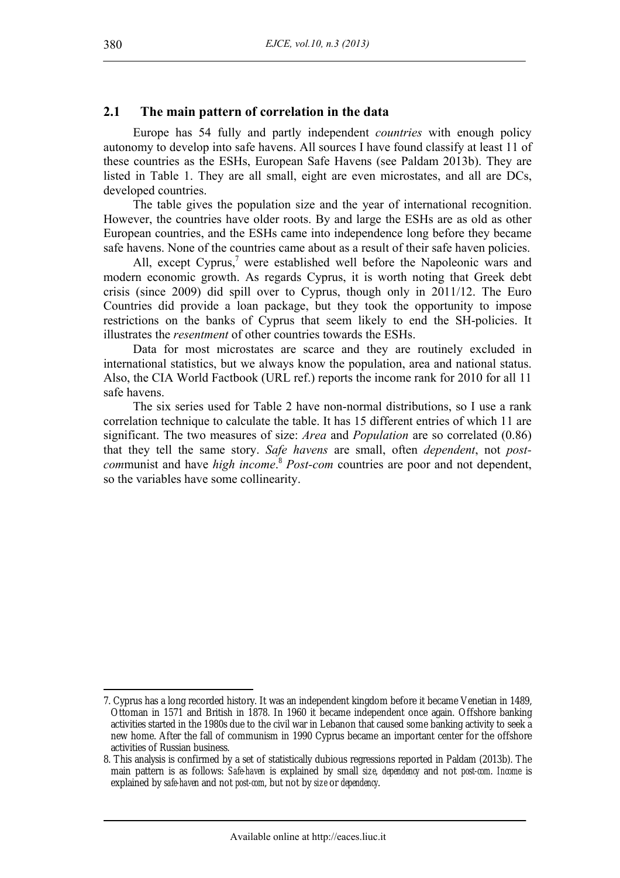# **2.1 The main pattern of correlation in the data**

Europe has 54 fully and partly independent *countries* with enough policy autonomy to develop into safe havens. All sources I have found classify at least 11 of these countries as the ESHs, European Safe Havens (see Paldam 2013b). They are listed in Table 1. They are all small, eight are even microstates, and all are DCs, developed countries.

The table gives the population size and the year of international recognition. However, the countries have older roots. By and large the ESHs are as old as other European countries, and the ESHs came into independence long before they became safe havens. None of the countries came about as a result of their safe haven policies.

All, except Cyprus, $\alpha$ <sup>7</sup> were established well before the Napoleonic wars and modern economic growth. As regards Cyprus, it is worth noting that Greek debt crisis (since 2009) did spill over to Cyprus, though only in 2011/12. The Euro Countries did provide a loan package, but they took the opportunity to impose restrictions on the banks of Cyprus that seem likely to end the SH-policies. It illustrates the *resentment* of other countries towards the ESHs.

Data for most microstates are scarce and they are routinely excluded in international statistics, but we always know the population, area and national status. Also, the CIA World Factbook (URL ref.) reports the income rank for 2010 for all 11 safe havens.

The six series used for Table 2 have non-normal distributions, so I use a rank correlation technique to calculate the table. It has 15 different entries of which 11 are significant. The two measures of size: *Area* and *Population* are so correlated (0.86) that they tell the same story. *Safe havens* are small, often *dependent*, not *postcom*munist and have *high income*. <sup>8</sup> *Post-com* countries are poor and not dependent, so the variables have some collinearity.

<sup>7.</sup> Cyprus has a long recorded history. It was an independent kingdom before it became Venetian in 1489, Ottoman in 1571 and British in 1878. In 1960 it became independent once again. Offshore banking activities started in the 1980s due to the civil war in Lebanon that caused some banking activity to seek a new home. After the fall of communism in 1990 Cyprus became an important center for the offshore activities of Russian business.

<sup>8.</sup> This analysis is confirmed by a set of statistically dubious regressions reported in Paldam (2013b). The main pattern is as follows: *Safe-haven* is explained by small *size*, *dependency* and not *post-com*. *Income* is explained by *safe-haven* and not *post-com*, but not by *size* or *dependency*.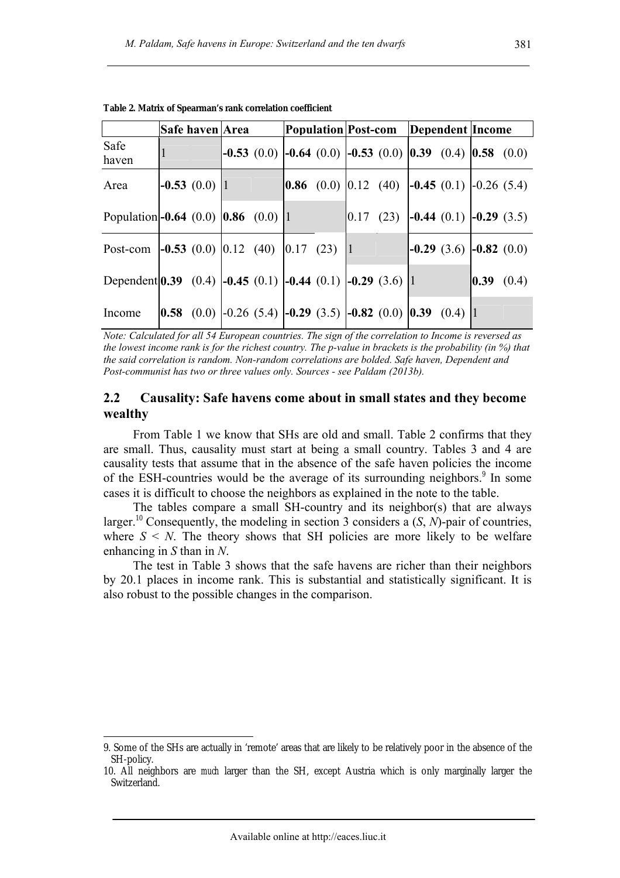|                                                                                             | Safe haven Area |  |  |      |      | <b>Population Post-com</b> Dependent Income                                                                                              |                |       |
|---------------------------------------------------------------------------------------------|-----------------|--|--|------|------|------------------------------------------------------------------------------------------------------------------------------------------|----------------|-------|
| Safe<br>haven                                                                               |                 |  |  |      |      | $\vert$ -0.53 (0.0) $\vert$ -0.64 (0.0) $\vert$ -0.53 (0.0) $\vert$ 0.39 (0.4) $\vert$ 0.58 (0.0)                                        |                |       |
| Area                                                                                        | $-0.53(0.0)$  1 |  |  |      |      | <b><math>\begin{bmatrix} 0.86 &amp; (0.0) &amp; 0.12 &amp; (40) &amp; -0.45 &amp; (0.1) &amp; -0.26 &amp; (5.4) \end{bmatrix}</math></b> |                |       |
| Population - 0.64 (0.0) $\vert$ 0.86 (0.0) $\vert$ 1                                        |                 |  |  | 0.17 | (23) | $\left  -0.44 \right  (0.1) \left  -0.29 \right  (3.5)$                                                                                  |                |       |
| Post-com $\vert$ -0.53 (0.0) $\vert$ 0.12 (40) $\vert$ 0.17 (23) $\vert$ 1                  |                 |  |  |      |      | $\left  -0.29 \right  (3.6) \left  -0.82 \right  (0.0)$                                                                                  |                |       |
| Dependent [0.39 (0.4) $\vert$ -0.45 (0.1) $\vert$ -0.44 (0.1) $\vert$ -0.29 (3.6) $\vert$ 1 |                 |  |  |      |      |                                                                                                                                          | $ 0.39\rangle$ | (0.4) |
| Income                                                                                      |                 |  |  |      |      | $\vert 0.58 \, (0.0) \, \vert -0.26 \, (5.4) \, \vert -0.29 \, (3.5) \, \vert -0.82 \, (0.0) \, \vert 0.39 \, (0.4) \, \vert 1$          |                |       |

**Table 2. Matrix of Spearman's rank correlation coefficient** 

*Note: Calculated for all 54 European countries. The sign of the correlation to Income is reversed as the lowest income rank is for the richest country. The p-value in brackets is the probability (in %) that the said correlation is random. Non-random correlations are bolded. Safe haven, Dependent and Post-communist has two or three values only. Sources - see Paldam (2013b).* 

## **2.2 Causality: Safe havens come about in small states and they become wealthy**

From Table 1 we know that SHs are old and small. Table 2 confirms that they are small. Thus, causality must start at being a small country. Tables 3 and 4 are causality tests that assume that in the absence of the safe haven policies the income of the ESH-countries would be the average of its surrounding neighbors.<sup>9</sup> In some cases it is difficult to choose the neighbors as explained in the note to the table.

The tables compare a small SH-country and its neighbor(s) that are always larger.<sup>10</sup> Consequently, the modeling in section 3 considers a  $(S, N)$ -pair of countries, where  $S \leq N$ . The theory shows that SH policies are more likely to be welfare enhancing in *S* than in *N*.

The test in Table 3 shows that the safe havens are richer than their neighbors by 20.1 places in income rank. This is substantial and statistically significant. It is also robust to the possible changes in the comparison.

<sup>9.</sup> Some of the SHs are actually in 'remote' areas that are likely to be relatively poor in the absence of the SH-policy.

<sup>10.</sup> All neighbors are *much* larger than the SH, except Austria which is only marginally larger the Switzerland.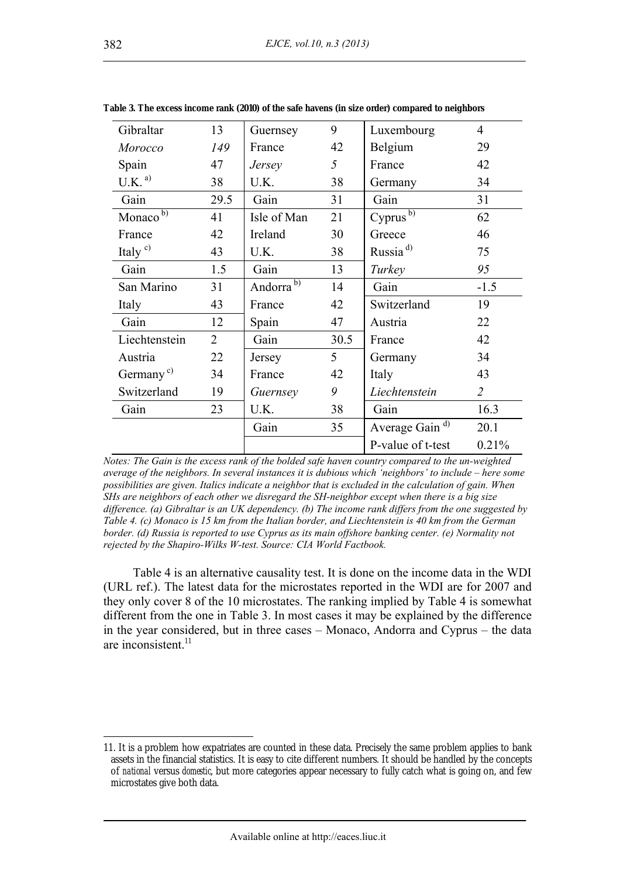| Gibraltar             | 13             | Guernsey              | 9    | Luxembourg                 | $\overline{4}$ |
|-----------------------|----------------|-----------------------|------|----------------------------|----------------|
| Morocco               | 149            | France                | 42   | Belgium                    | 29             |
| Spain                 | 47             | <b><i>Jersey</i></b>  | 5    | France                     | 42             |
| $U.K.$ <sup>a)</sup>  | 38             | U.K.                  | 38   | Germany                    | 34             |
| Gain                  | 29.5           | Gain                  | 31   | Gain                       | 31             |
| Monaco <sup>b)</sup>  | 41             | Isle of Man           | 21   | Cyprus <sup>b)</sup>       | 62             |
| France                | 42             | Ireland               | 30   | Greece                     | 46             |
| Italy $\frac{c}{c}$   | 43             | U.K.                  | 38   | Russia <sup>d)</sup>       | 75             |
| Gain                  | 1.5            | Gain                  | 13   | Turkey                     | 95             |
| San Marino            | 31             | Andorra <sup>b)</sup> | 14   | Gain                       | $-1.5$         |
| Italy                 | 43             | France                | 42   | Switzerland                | 19             |
| Gain                  | 12             | Spain                 | 47   | Austria                    | 22             |
| Liechtenstein         | $\overline{2}$ | Gain                  | 30.5 | France                     | 42             |
| Austria               | 22             | Jersey                | 5    | Germany                    | 34             |
| Germany <sup>c)</sup> | 34             | France                | 42   | Italy                      | 43             |
| Switzerland           | 19             | Guernsey              | 9    | Liechtenstein              | $\overline{2}$ |
| Gain                  | 23             | U.K.                  | 38   | Gain                       | 16.3           |
|                       |                | Gain                  | 35   | Average Gain <sup>d)</sup> | 20.1           |
|                       |                |                       |      | P-value of t-test          | 0.21%          |

**Table 3. The excess income rank (2010) of the safe havens (in size order) compared to neighbors** 

*Notes: The Gain is the excess rank of the bolded safe haven country compared to the un-weighted average of the neighbors. In several instances it is dubious which 'neighbors' to include – here some possibilities are given. Italics indicate a neighbor that is excluded in the calculation of gain. When SHs are neighbors of each other we disregard the SH-neighbor except when there is a big size difference. (a) Gibraltar is an UK dependency. (b) The income rank differs from the one suggested by Table 4. (c) Monaco is 15 km from the Italian border, and Liechtenstein is 40 km from the German border. (d) Russia is reported to use Cyprus as its main offshore banking center. (e) Normality not rejected by the Shapiro-Wilks W-test. Source: CIA World Factbook.* 

Table 4 is an alternative causality test. It is done on the income data in the WDI (URL ref.). The latest data for the microstates reported in the WDI are for 2007 and they only cover 8 of the 10 microstates. The ranking implied by Table 4 is somewhat different from the one in Table 3. In most cases it may be explained by the difference in the year considered, but in three cases – Monaco, Andorra and Cyprus – the data are inconsistent $11$ 

<sup>11.</sup> It is a problem how expatriates are counted in these data. Precisely the same problem applies to bank assets in the financial statistics. It is easy to cite different numbers. It should be handled by the concepts of *national* versus *domestic*, but more categories appear necessary to fully catch what is going on, and few microstates give both data.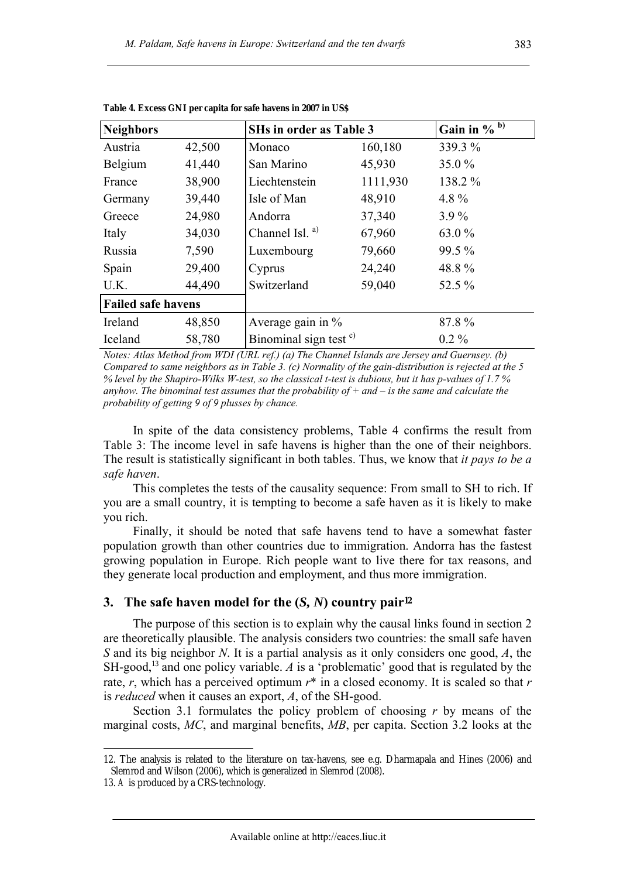| <b>Neighbors</b>          |        |                                   | <b>SHs in order as Table 3</b> |          |  |  |
|---------------------------|--------|-----------------------------------|--------------------------------|----------|--|--|
| Austria                   | 42,500 | Monaco                            | 160,180                        | 339.3 %  |  |  |
| <b>Belgium</b>            | 41,440 | San Marino                        | 45,930                         | $35.0\%$ |  |  |
| France                    | 38,900 | Liechtenstein                     | 1111,930                       | 138.2 %  |  |  |
| Germany                   | 39,440 | Isle of Man                       | 48,910                         | 4.8 $%$  |  |  |
| Greece                    | 24,980 | Andorra                           | 37,340                         | $3.9\%$  |  |  |
| Italy                     | 34,030 | Channel Isl. <sup>a)</sup>        | 67,960                         | 63.0 %   |  |  |
| Russia                    | 7,590  | Luxembourg                        | 79,660                         | 99.5 %   |  |  |
| Spain                     | 29,400 | Cyprus                            | 24,240                         | 48.8%    |  |  |
| U.K.                      | 44,490 | Switzerland                       | 59,040                         | 52.5 %   |  |  |
| <b>Failed safe havens</b> |        |                                   |                                |          |  |  |
| Ireland                   | 48,850 | Average gain in $\%$              |                                | 87.8%    |  |  |
| Iceland                   | 58,780 | Binominal sign test <sup>c)</sup> |                                | $0.2\%$  |  |  |

**Table 4. Excess GNI per capita for safe havens in 2007 in US\$** 

*Notes: Atlas Method from WDI (URL ref.) (a) The Channel Islands are Jersey and Guernsey. (b) Compared to same neighbors as in Table 3. (c) Normality of the gain-distribution is rejected at the 5 % level by the Shapiro-Wilks W-test, so the classical t-test is dubious, but it has p-values of 1.7 % anyhow. The binominal test assumes that the probability of + and – is the same and calculate the probability of getting 9 of 9 plusses by chance.* 

In spite of the data consistency problems, Table 4 confirms the result from Table 3: The income level in safe havens is higher than the one of their neighbors. The result is statistically significant in both tables. Thus, we know that *it pays to be a safe haven*.

This completes the tests of the causality sequence: From small to SH to rich. If you are a small country, it is tempting to become a safe haven as it is likely to make you rich.

Finally, it should be noted that safe havens tend to have a somewhat faster population growth than other countries due to immigration. Andorra has the fastest growing population in Europe. Rich people want to live there for tax reasons, and they generate local production and employment, and thus more immigration.

## **3. The safe haven model for the (***S, N***) country pair<sup>12</sup>**

The purpose of this section is to explain why the causal links found in section 2 are theoretically plausible. The analysis considers two countries: the small safe haven *S* and its big neighbor *N*. It is a partial analysis as it only considers one good, *A*, the SH-good,<sup>13</sup> and one policy variable. *A* is a 'problematic' good that is regulated by the rate, *r*, which has a perceived optimum *r*\* in a closed economy. It is scaled so that *r* is *reduced* when it causes an export, *A*, of the SH-good.

Section 3.1 formulates the policy problem of choosing *r* by means of the marginal costs, *MC*, and marginal benefits, *MB*, per capita. Section 3.2 looks at the

<sup>12.</sup> The analysis is related to the literature on tax-havens, see e.g. Dharmapala and Hines (2006) and Slemrod and Wilson (2006), which is generalized in Slemrod (2008).

<sup>13.</sup> *A* is produced by a CRS-technology.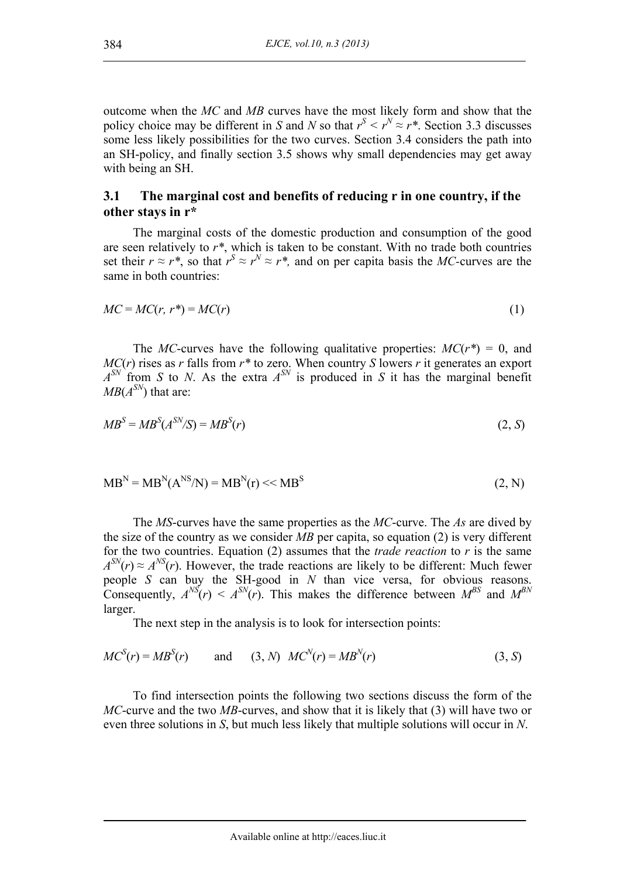outcome when the *MC* and *MB* curves have the most likely form and show that the policy choice may be different in *S* and *N* so that  $r^S \le r^N \approx r^*$ . Section 3.3 discusses some less likely possibilities for the two curves. Section 3.4 considers the path into an SH-policy, and finally section 3.5 shows why small dependencies may get away with being an SH.

## **3.1 The marginal cost and benefits of reducing r in one country, if the other stays in r\***

The marginal costs of the domestic production and consumption of the good are seen relatively to *r\**, which is taken to be constant. With no trade both countries set their  $r \approx r^*$ , so that  $r^S \approx r^N \approx r^*$ , and on per capita basis the *MC*-curves are the same in both countries:

$$
MC = MC(r, r^*) = MC(r)
$$
\n(1)

The *MC*-curves have the following qualitative properties:  $MC(r^*) = 0$ , and *MC*(*r*) rises as *r* falls from *r\** to zero. When country *S* lowers *r* it generates an export  $A^{SN}$  from *S* to *N*. As the extra  $A^{SN}$  is produced in *S* it has the marginal benefit  $MB(A^{SN})$  that are:

$$
MB^S = MB^S(A^{SN}/S) = MB^S(r)
$$
\n
$$
(2, S)
$$

$$
MBN = MBN(ANS/N) = MBN(r) \ll MBS
$$
 (2, N)

The *MS*-curves have the same properties as the *MC*-curve. The *As* are dived by the size of the country as we consider *MB* per capita, so equation (2) is very different for the two countries. Equation (2) assumes that the *trade reaction* to *r* is the same  $A^{SN}(r) \approx A^{NS}(r)$ . However, the trade reactions are likely to be different: Much fewer people *S* can buy the SH-good in *N* than vice versa, for obvious reasons. Consequently,  $A^{NS}(r) < A^{SN}(r)$ . This makes the difference between  $M^{BS}$  and  $M^{BN}$ larger.

The next step in the analysis is to look for intersection points:

$$
MC^{S}(r) = MB^{S}(r)
$$
 and  $(3, N) MC^{N}(r) = MB^{N}(r)$  (3, S)

To find intersection points the following two sections discuss the form of the *MC*-curve and the two *MB*-curves, and show that it is likely that (3) will have two or even three solutions in *S*, but much less likely that multiple solutions will occur in *N*.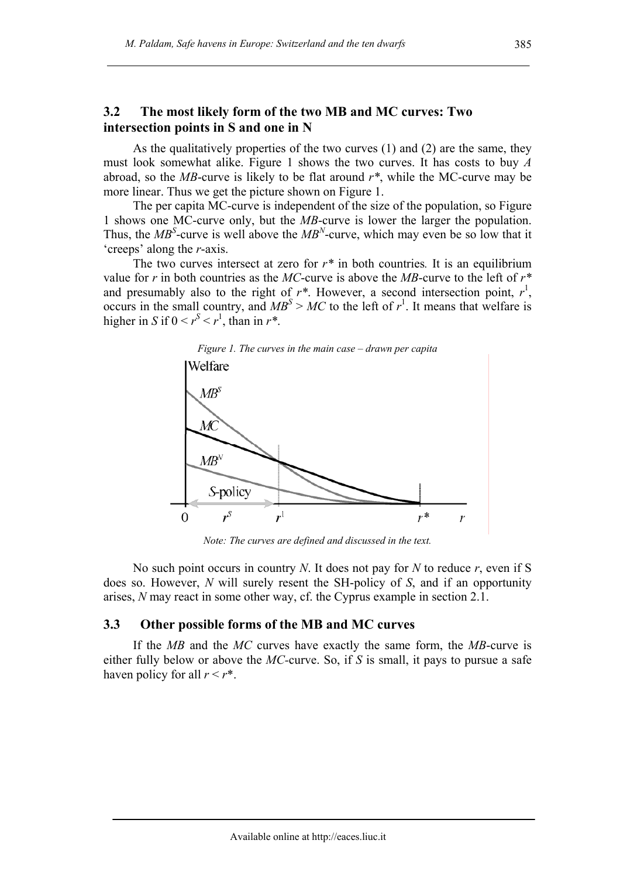## **3.2 The most likely form of the two MB and MC curves: Two intersection points in S and one in N**

As the qualitatively properties of the two curves (1) and (2) are the same, they must look somewhat alike. Figure 1 shows the two curves. It has costs to buy *A* abroad, so the *MB*-curve is likely to be flat around *r\**, while the MC-curve may be more linear. Thus we get the picture shown on Figure 1.

The per capita MC-curve is independent of the size of the population, so Figure 1 shows one MC-curve only, but the *MB*-curve is lower the larger the population. Thus, the  $MB<sup>S</sup>$ -curve is well above the  $MB<sup>N</sup>$ -curve, which may even be so low that it 'creeps' along the *r*-axis.

The two curves intersect at zero for  $r^*$  in both countries. It is an equilibrium value for *r* in both countries as the *MC*-curve is above the *MB*-curve to the left of *r\** and presumably also to the right of  $r^*$ . However, a second intersection point,  $r^1$ , occurs in the small country, and  $MB^S > MC$  to the left of  $r^1$ . It means that welfare is higher in *S* if  $0 \le r^S \le r^1$ , than in  $r^*$ .



*Note: The curves are defined and discussed in the text.* 

No such point occurs in country *N*. It does not pay for *N* to reduce *r*, even if S does so. However, *N* will surely resent the SH-policy of *S*, and if an opportunity arises, *N* may react in some other way, cf. the Cyprus example in section 2.1.

#### **3.3 Other possible forms of the MB and MC curves**

If the *MB* and the *MC* curves have exactly the same form, the *MB*-curve is either fully below or above the *MC-*curve. So, if *S* is small, it pays to pursue a safe haven policy for all  $r \leq r^*$ .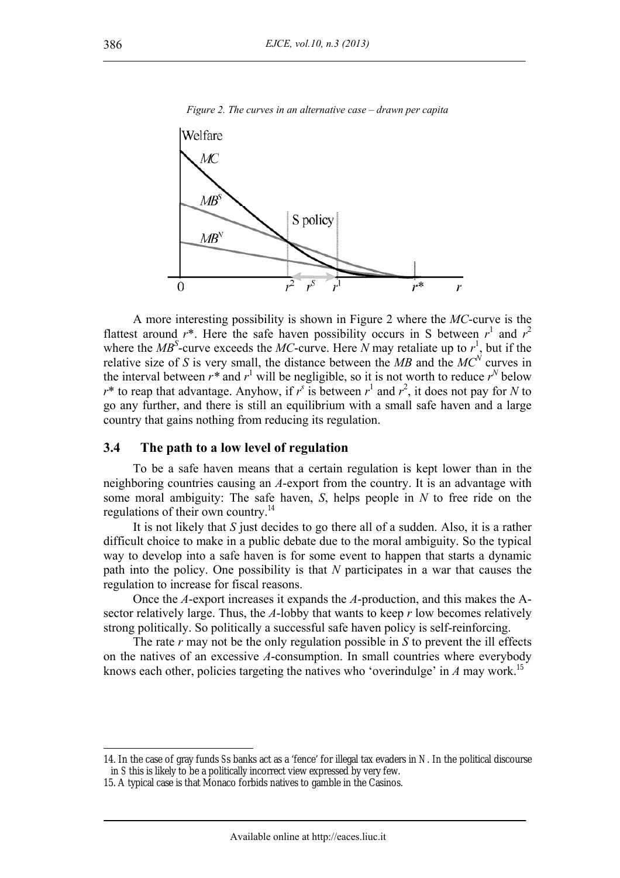

*Figure 2. The curves in an alternative case – drawn per capita* 

A more interesting possibility is shown in Figure 2 where the *MC*-curve is the flattest around  $r^*$ . Here the safe haven possibility occurs in S between  $r^1$  and  $r^2$ where the  $MB^S$ -curve exceeds the MC-curve. Here N may retaliate up to  $r^1$ , but if the relative size of *S* is very small, the distance between the *MB* and the  $MC^N$  curves in the interval between  $r^*$  and  $r^1$  will be negligible, so it is not worth to reduce  $r^N$  below  $r^*$  to reap that advantage. Anyhow, if  $r^s$  is between  $r^1$  and  $r^2$ , it does not pay for *N* to go any further, and there is still an equilibrium with a small safe haven and a large country that gains nothing from reducing its regulation.

#### **3.4 The path to a low level of regulation**

To be a safe haven means that a certain regulation is kept lower than in the neighboring countries causing an *A*-export from the country. It is an advantage with some moral ambiguity: The safe haven, *S*, helps people in *N* to free ride on the regulations of their own country.<sup>14</sup>

It is not likely that *S* just decides to go there all of a sudden. Also, it is a rather difficult choice to make in a public debate due to the moral ambiguity. So the typical way to develop into a safe haven is for some event to happen that starts a dynamic path into the policy. One possibility is that *N* participates in a war that causes the regulation to increase for fiscal reasons.

Once the *A*-export increases it expands the *A*-production, and this makes the Asector relatively large. Thus, the *A*-lobby that wants to keep *r* low becomes relatively strong politically. So politically a successful safe haven policy is self-reinforcing.

The rate *r* may not be the only regulation possible in *S* to prevent the ill effects on the natives of an excessive *A*-consumption. In small countries where everybody knows each other, policies targeting the natives who 'overindulge' in  $\Lambda$  may work.<sup>15</sup>

<sup>14.</sup> In the case of gray funds *S*s banks act as a 'fence' for illegal tax evaders in *N*. In the political discourse in *S* this is likely to be a politically incorrect view expressed by very few.

<sup>15.</sup> A typical case is that Monaco forbids natives to gamble in the Casinos.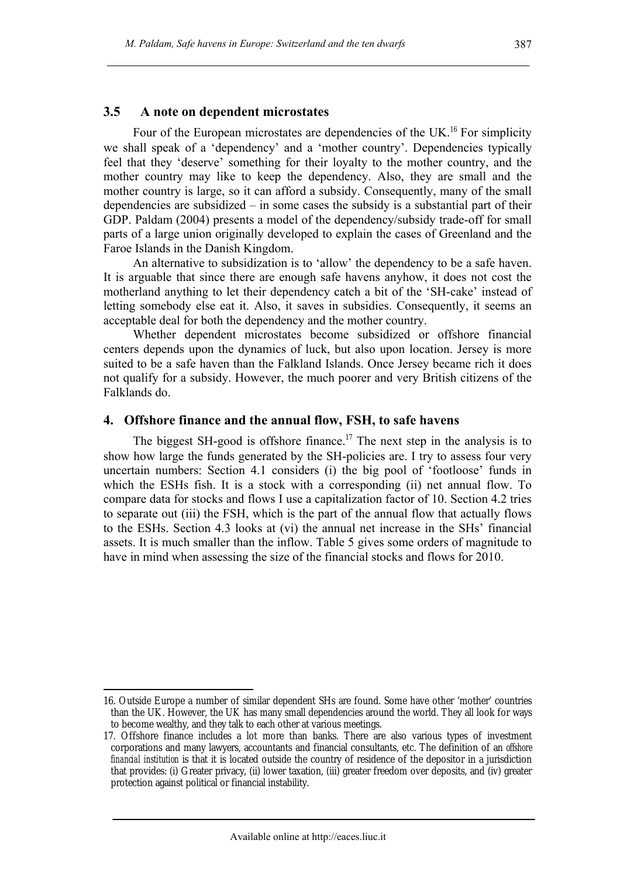#### **3.5 A note on dependent microstates**

Four of the European microstates are dependencies of the UK.<sup>16</sup> For simplicity we shall speak of a 'dependency' and a 'mother country'. Dependencies typically feel that they 'deserve' something for their loyalty to the mother country, and the mother country may like to keep the dependency. Also, they are small and the mother country is large, so it can afford a subsidy. Consequently, many of the small dependencies are subsidized – in some cases the subsidy is a substantial part of their GDP. Paldam (2004) presents a model of the dependency/subsidy trade-off for small parts of a large union originally developed to explain the cases of Greenland and the Faroe Islands in the Danish Kingdom.

An alternative to subsidization is to 'allow' the dependency to be a safe haven. It is arguable that since there are enough safe havens anyhow, it does not cost the motherland anything to let their dependency catch a bit of the 'SH-cake' instead of letting somebody else eat it. Also, it saves in subsidies. Consequently, it seems an acceptable deal for both the dependency and the mother country.

Whether dependent microstates become subsidized or offshore financial centers depends upon the dynamics of luck, but also upon location. Jersey is more suited to be a safe haven than the Falkland Islands. Once Jersey became rich it does not qualify for a subsidy. However, the much poorer and very British citizens of the Falklands do.

#### **4. Offshore finance and the annual flow, FSH, to safe havens**

The biggest SH-good is offshore finance.<sup>17</sup> The next step in the analysis is to show how large the funds generated by the SH-policies are. I try to assess four very uncertain numbers: Section 4.1 considers (i) the big pool of 'footloose' funds in which the ESHs fish. It is a stock with a corresponding (ii) net annual flow. To compare data for stocks and flows I use a capitalization factor of 10. Section 4.2 tries to separate out (iii) the FSH, which is the part of the annual flow that actually flows to the ESHs. Section 4.3 looks at (vi) the annual net increase in the SHs' financial assets. It is much smaller than the inflow. Table 5 gives some orders of magnitude to have in mind when assessing the size of the financial stocks and flows for 2010.

<sup>16.</sup> Outside Europe a number of similar dependent SHs are found. Some have other 'mother' countries than the UK. However, the UK has many small dependencies around the world. They all look for ways to become wealthy, and they talk to each other at various meetings.

<sup>17.</sup> Offshore finance includes a lot more than banks. There are also various types of investment corporations and many lawyers, accountants and financial consultants, etc. The definition of an *offshore financial institution* is that it is located outside the country of residence of the depositor in a jurisdiction that provides: (i) Greater privacy, (ii) lower taxation, (iii) greater freedom over deposits, and (iv) greater protection against political or financial instability.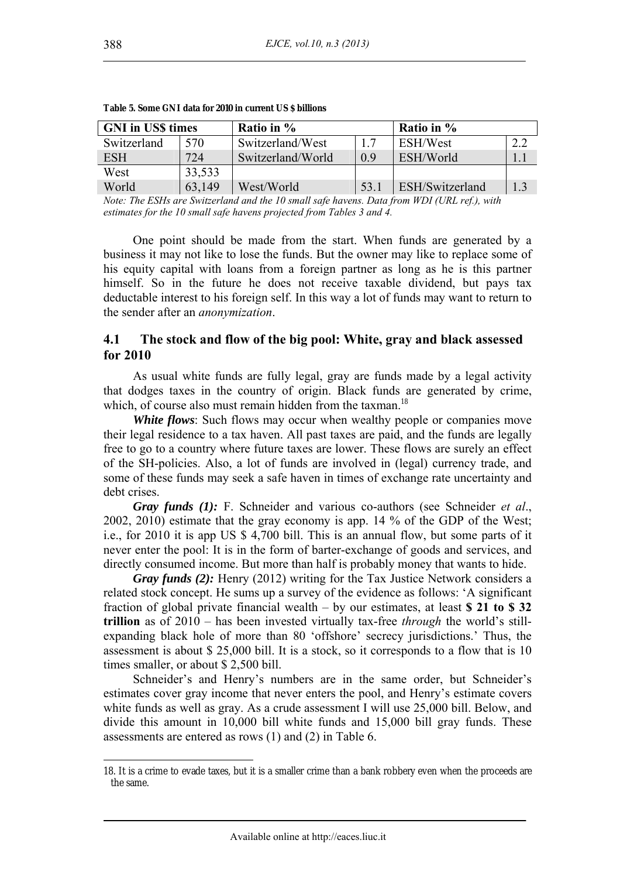| <b>GNI</b> in US\$ times |        | Ratio in %        | Ratio in $\%$ |                 |     |
|--------------------------|--------|-------------------|---------------|-----------------|-----|
| Switzerland              | 570    | Switzerland/West  | 17            | ESH/West        | 2.2 |
| ESH                      | 724    | Switzerland/World | 09            | ESH/World       |     |
| West                     | 33,533 |                   |               |                 |     |
| World                    | 63,149 | West/World        | 53.1          | ESH/Switzerland |     |

**Table 5. Some GNI data for 2010 in current US \$ billions** 

*Note: The ESHs are Switzerland and the 10 small safe havens. Data from WDI (URL ref.), with estimates for the 10 small safe havens projected from Tables 3 and 4.* 

One point should be made from the start. When funds are generated by a business it may not like to lose the funds. But the owner may like to replace some of his equity capital with loans from a foreign partner as long as he is this partner himself. So in the future he does not receive taxable dividend, but pays tax deductable interest to his foreign self. In this way a lot of funds may want to return to the sender after an *anonymization*.

# **4.1 The stock and flow of the big pool: White, gray and black assessed for 2010**

As usual white funds are fully legal, gray are funds made by a legal activity that dodges taxes in the country of origin. Black funds are generated by crime, which, of course also must remain hidden from the taxman.<sup>18</sup>

*White flows*: Such flows may occur when wealthy people or companies move their legal residence to a tax haven. All past taxes are paid, and the funds are legally free to go to a country where future taxes are lower. These flows are surely an effect of the SH-policies. Also, a lot of funds are involved in (legal) currency trade, and some of these funds may seek a safe haven in times of exchange rate uncertainty and debt crises.

*Gray funds (1):* F. Schneider and various co-authors (see Schneider *et al*., 2002, 2010) estimate that the gray economy is app. 14 % of the GDP of the West; i.e., for 2010 it is app US \$ 4,700 bill. This is an annual flow, but some parts of it never enter the pool: It is in the form of barter-exchange of goods and services, and directly consumed income. But more than half is probably money that wants to hide.

*Gray funds (2):* Henry (2012) writing for the Tax Justice Network considers a related stock concept. He sums up a survey of the evidence as follows: 'A significant fraction of global private financial wealth – by our estimates, at least **\$ 21 to \$ 32 trillion** as of 2010 – has been invested virtually tax-free *through* the world's stillexpanding black hole of more than 80 'offshore' secrecy jurisdictions.' Thus, the assessment is about \$ 25,000 bill. It is a stock, so it corresponds to a flow that is 10 times smaller, or about \$ 2,500 bill.

Schneider's and Henry's numbers are in the same order, but Schneider's estimates cover gray income that never enters the pool, and Henry's estimate covers white funds as well as gray. As a crude assessment I will use 25,000 bill. Below, and divide this amount in 10,000 bill white funds and 15,000 bill gray funds. These assessments are entered as rows (1) and (2) in Table 6.

<sup>18.</sup> It is a crime to evade taxes, but it is a smaller crime than a bank robbery even when the proceeds are the same.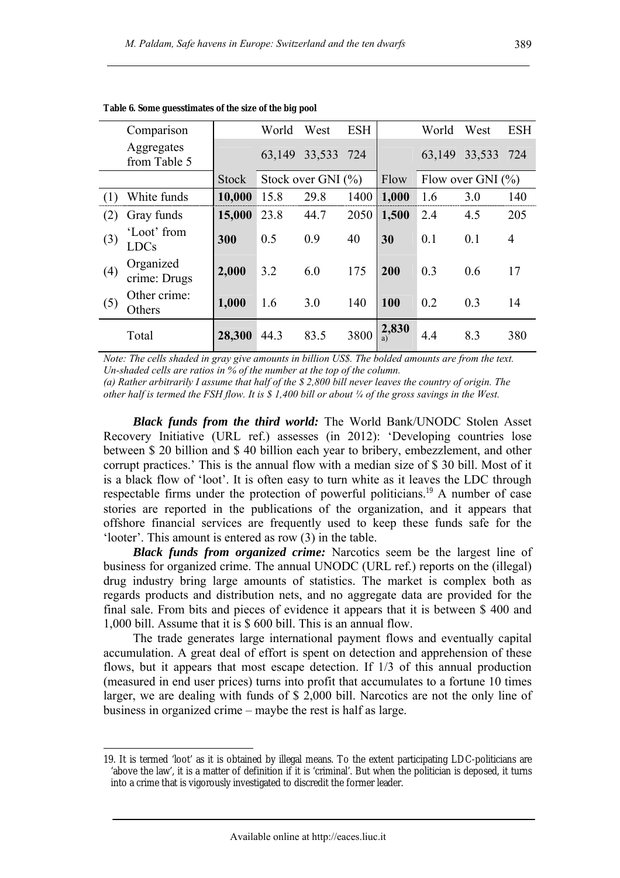|     | Comparison                 |              | World  | West                   | <b>ESH</b> |             | World  | West                  | <b>ESH</b>     |
|-----|----------------------------|--------------|--------|------------------------|------------|-------------|--------|-----------------------|----------------|
|     | Aggregates<br>from Table 5 |              | 63,149 | 33,533                 | 724        |             | 63,149 | 33,533                | -724           |
|     |                            | <b>Stock</b> |        | Stock over GNI $(\% )$ |            | Flow        |        | Flow over GNI $(\% )$ |                |
| (1) | White funds                | 10,000       | 15.8   | 29.8                   | 1400       | 1,000       | 1.6    | 3.0                   | 140            |
| (2) | Gray funds                 | 15,000       | 23.8   | 44.7                   | 2050       | 1,500       | 2.4    | 4.5                   | 205            |
| (3) | 'Loot' from<br>LDCs        | 300          | 0.5    | 0.9                    | 40         | 30          | 0.1    | 0.1                   | $\overline{4}$ |
| (4) | Organized<br>crime: Drugs  | 2,000        | 3.2    | 6.0                    | 175        | 200         | 0.3    | 0.6                   | 17             |
| (5) | Other crime:<br>Others     | 1,000        | 1.6    | 3.0                    | 140        | 100         | 0.2    | 0.3                   | 14             |
|     | Total                      | 28,300       | 44.3   | 83.5                   | 3800       | 2,830<br>a) | 4.4    | 8.3                   | 380            |

**Table 6. Some guesstimates of the size of the big pool** 

*Note: The cells shaded in gray give amounts in billion US\$. The bolded amounts are from the text. Un-shaded cells are ratios in % of the number at the top of the column.* 

*(a) Rather arbitrarily I assume that half of the \$ 2,800 bill never leaves the country of origin. The other half is termed the FSH flow. It is \$ 1,400 bill or about ¼ of the gross savings in the West.* 

*Black funds from the third world:* The World Bank/UNODC Stolen Asset Recovery Initiative (URL ref.) assesses (in 2012): 'Developing countries lose between \$ 20 billion and \$ 40 billion each year to bribery, embezzlement, and other corrupt practices.' This is the annual flow with a median size of \$ 30 bill. Most of it is a black flow of 'loot'. It is often easy to turn white as it leaves the LDC through respectable firms under the protection of powerful politicians.<sup>19</sup> A number of case stories are reported in the publications of the organization, and it appears that offshore financial services are frequently used to keep these funds safe for the 'looter'. This amount is entered as row (3) in the table.

*Black funds from organized crime:* Narcotics seem be the largest line of business for organized crime. The annual UNODC (URL ref.) reports on the (illegal) drug industry bring large amounts of statistics. The market is complex both as regards products and distribution nets, and no aggregate data are provided for the final sale. From bits and pieces of evidence it appears that it is between \$ 400 and 1,000 bill. Assume that it is \$ 600 bill. This is an annual flow.

The trade generates large international payment flows and eventually capital accumulation. A great deal of effort is spent on detection and apprehension of these flows, but it appears that most escape detection. If 1/3 of this annual production (measured in end user prices) turns into profit that accumulates to a fortune 10 times larger, we are dealing with funds of \$ 2,000 bill. Narcotics are not the only line of business in organized crime – maybe the rest is half as large.

<sup>19.</sup> It is termed 'loot' as it is obtained by illegal means. To the extent participating LDC-politicians are 'above the law', it is a matter of definition if it is 'criminal'. But when the politician is deposed, it turns into a crime that is vigorously investigated to discredit the former leader.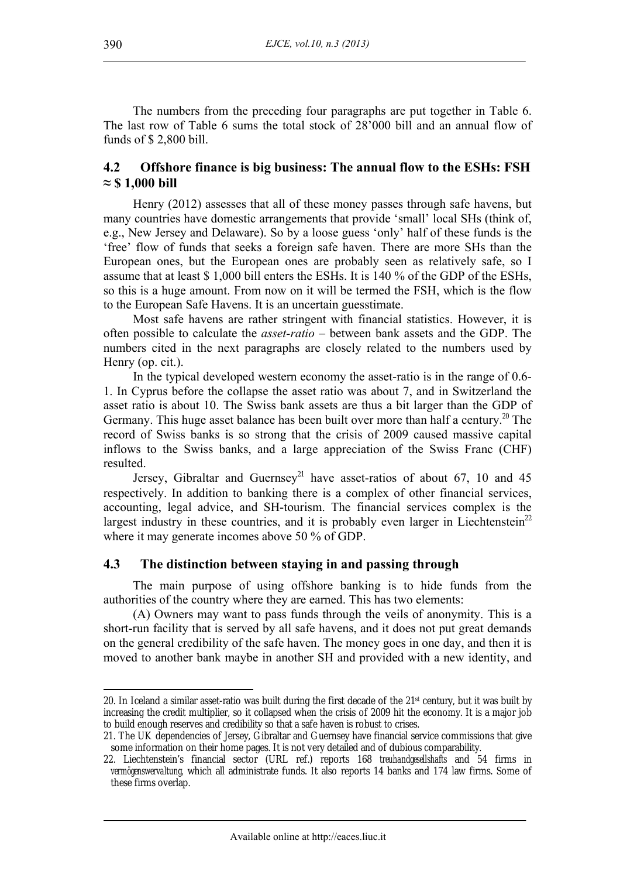The numbers from the preceding four paragraphs are put together in Table 6. The last row of Table 6 sums the total stock of 28'000 bill and an annual flow of funds of \$ 2,800 bill.

# **4.2 Offshore finance is big business: The annual flow to the ESHs: FSH ≈ \$ 1,000 bill**

Henry (2012) assesses that all of these money passes through safe havens, but many countries have domestic arrangements that provide 'small' local SHs (think of, e.g., New Jersey and Delaware). So by a loose guess 'only' half of these funds is the 'free' flow of funds that seeks a foreign safe haven. There are more SHs than the European ones, but the European ones are probably seen as relatively safe, so I assume that at least \$ 1,000 bill enters the ESHs. It is 140 % of the GDP of the ESHs, so this is a huge amount. From now on it will be termed the FSH, which is the flow to the European Safe Havens. It is an uncertain guesstimate.

Most safe havens are rather stringent with financial statistics. However, it is often possible to calculate the *asset-ratio* – between bank assets and the GDP. The numbers cited in the next paragraphs are closely related to the numbers used by Henry (op. cit.).

In the typical developed western economy the asset-ratio is in the range of 0.6- 1. In Cyprus before the collapse the asset ratio was about 7, and in Switzerland the asset ratio is about 10. The Swiss bank assets are thus a bit larger than the GDP of Germany. This huge asset balance has been built over more than half a century.<sup>20</sup> The record of Swiss banks is so strong that the crisis of 2009 caused massive capital inflows to the Swiss banks, and a large appreciation of the Swiss Franc (CHF) resulted.

Jersey, Gibraltar and Guernsey<sup>21</sup> have asset-ratios of about 67, 10 and 45 respectively. In addition to banking there is a complex of other financial services, accounting, legal advice, and SH-tourism. The financial services complex is the largest industry in these countries, and it is probably even larger in Liechtenstein<sup>22</sup> where it may generate incomes above 50 % of GDP.

#### **4.3 The distinction between staying in and passing through**

The main purpose of using offshore banking is to hide funds from the authorities of the country where they are earned. This has two elements:

(A) Owners may want to pass funds through the veils of anonymity. This is a short-run facility that is served by all safe havens, and it does not put great demands on the general credibility of the safe haven. The money goes in one day, and then it is moved to another bank maybe in another SH and provided with a new identity, and

<sup>20.</sup> In Iceland a similar asset-ratio was built during the first decade of the 21st century, but it was built by increasing the credit multiplier, so it collapsed when the crisis of 2009 hit the economy. It is a major job to build enough reserves and credibility so that a safe haven is robust to crises.

<sup>21.</sup> The UK dependencies of Jersey, Gibraltar and Guernsey have financial service commissions that give some information on their home pages. It is not very detailed and of dubious comparability.

<sup>22.</sup> Liechtenstein's financial sector (URL ref.) reports 168 *treuhandgesellshafts* and 54 firms in *vermögenswervaltung,* which all administrate funds. It also reports 14 banks and 174 law firms. Some of these firms overlap.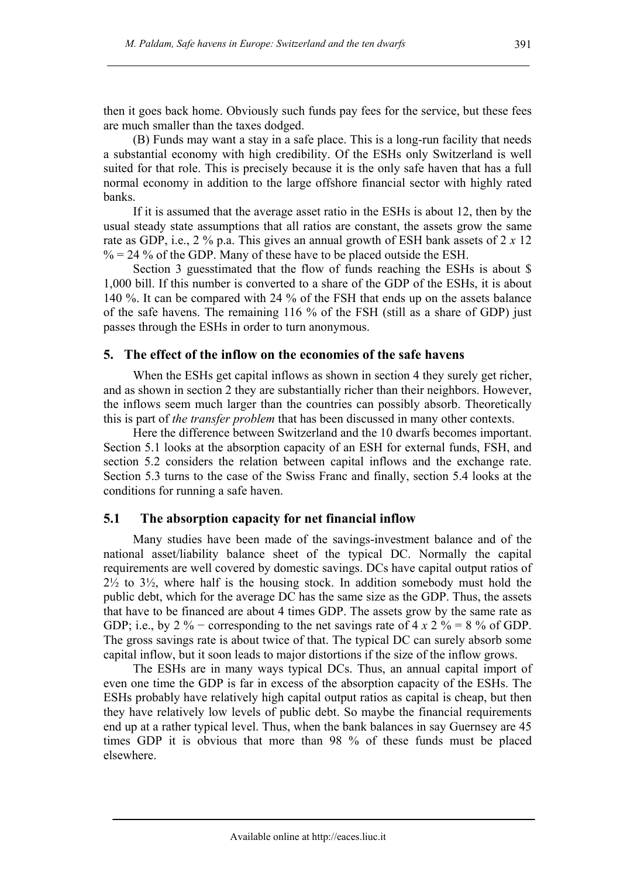then it goes back home. Obviously such funds pay fees for the service, but these fees are much smaller than the taxes dodged.

(B) Funds may want a stay in a safe place. This is a long-run facility that needs a substantial economy with high credibility. Of the ESHs only Switzerland is well suited for that role. This is precisely because it is the only safe haven that has a full normal economy in addition to the large offshore financial sector with highly rated banks.

If it is assumed that the average asset ratio in the ESHs is about 12, then by the usual steady state assumptions that all ratios are constant, the assets grow the same rate as GDP, i.e., 2 % p.a. This gives an annual growth of ESH bank assets of 2 *x* 12  $\% = 24\%$  of the GDP. Many of these have to be placed outside the ESH.

Section 3 guesstimated that the flow of funds reaching the ESHs is about \$ 1,000 bill. If this number is converted to a share of the GDP of the ESHs, it is about 140 %. It can be compared with 24 % of the FSH that ends up on the assets balance of the safe havens. The remaining 116 % of the FSH (still as a share of GDP) just passes through the ESHs in order to turn anonymous.

#### **5. The effect of the inflow on the economies of the safe havens**

When the ESHs get capital inflows as shown in section 4 they surely get richer, and as shown in section 2 they are substantially richer than their neighbors. However, the inflows seem much larger than the countries can possibly absorb. Theoretically this is part of *the transfer problem* that has been discussed in many other contexts.

Here the difference between Switzerland and the 10 dwarfs becomes important. Section 5.1 looks at the absorption capacity of an ESH for external funds, FSH, and section 5.2 considers the relation between capital inflows and the exchange rate. Section 5.3 turns to the case of the Swiss Franc and finally, section 5.4 looks at the conditions for running a safe haven.

## **5.1 The absorption capacity for net financial inflow**

Many studies have been made of the savings-investment balance and of the national asset/liability balance sheet of the typical DC. Normally the capital requirements are well covered by domestic savings. DCs have capital output ratios of  $2\frac{1}{2}$  to  $3\frac{1}{2}$ , where half is the housing stock. In addition somebody must hold the public debt, which for the average DC has the same size as the GDP. Thus, the assets that have to be financed are about 4 times GDP. The assets grow by the same rate as GDP; i.e., by 2 % – corresponding to the net savings rate of 4  $x$  2 % = 8 % of GDP. The gross savings rate is about twice of that. The typical DC can surely absorb some capital inflow, but it soon leads to major distortions if the size of the inflow grows.

The ESHs are in many ways typical DCs. Thus, an annual capital import of even one time the GDP is far in excess of the absorption capacity of the ESHs. The ESHs probably have relatively high capital output ratios as capital is cheap, but then they have relatively low levels of public debt. So maybe the financial requirements end up at a rather typical level. Thus, when the bank balances in say Guernsey are 45 times GDP it is obvious that more than 98 % of these funds must be placed elsewhere.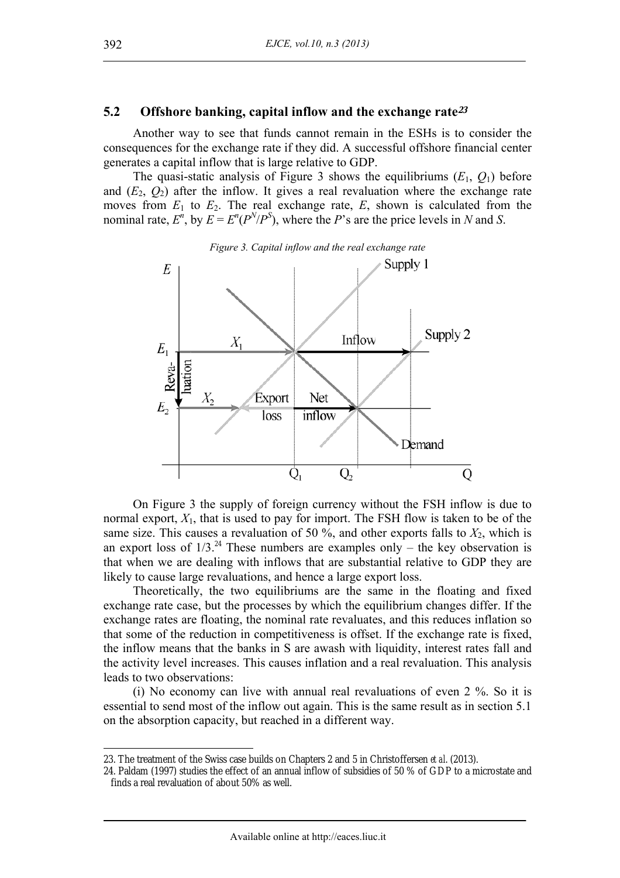# **5.2 Offshore banking, capital inflow and the exchange rate<sup>23</sup>**

Another way to see that funds cannot remain in the ESHs is to consider the consequences for the exchange rate if they did. A successful offshore financial center generates a capital inflow that is large relative to GDP.

The quasi-static analysis of Figure 3 shows the equilibriums  $(E_1, Q_1)$  before and  $(E_2, O_2)$  after the inflow. It gives a real revaluation where the exchange rate moves from  $E_1$  to  $E_2$ . The real exchange rate,  $E$ , shown is calculated from the nominal rate,  $E^n$ , by  $E = E^n(P^N/P^S)$ , where the *P*'s are the price levels in *N* and *S*.



On Figure 3 the supply of foreign currency without the FSH inflow is due to normal export,  $X_1$ , that is used to pay for import. The FSH flow is taken to be of the same size. This causes a revaluation of 50  $\%$ , and other exports falls to  $X_2$ , which is an export loss of  $1/3$ .<sup>24</sup> These numbers are examples only – the key observation is that when we are dealing with inflows that are substantial relative to GDP they are likely to cause large revaluations, and hence a large export loss.

Theoretically, the two equilibriums are the same in the floating and fixed exchange rate case, but the processes by which the equilibrium changes differ. If the exchange rates are floating, the nominal rate revaluates, and this reduces inflation so that some of the reduction in competitiveness is offset. If the exchange rate is fixed, the inflow means that the banks in S are awash with liquidity, interest rates fall and the activity level increases. This causes inflation and a real revaluation. This analysis leads to two observations:

(i) No economy can live with annual real revaluations of even 2 %. So it is essential to send most of the inflow out again. This is the same result as in section 5.1 on the absorption capacity, but reached in a different way.

<sup>23.</sup> The treatment of the Swiss case builds on Chapters 2 and 5 in Christoffersen *et al*. (2013).

<sup>24.</sup> Paldam (1997) studies the effect of an annual inflow of subsidies of 50 % of GDP to a microstate and finds a real revaluation of about 50% as well.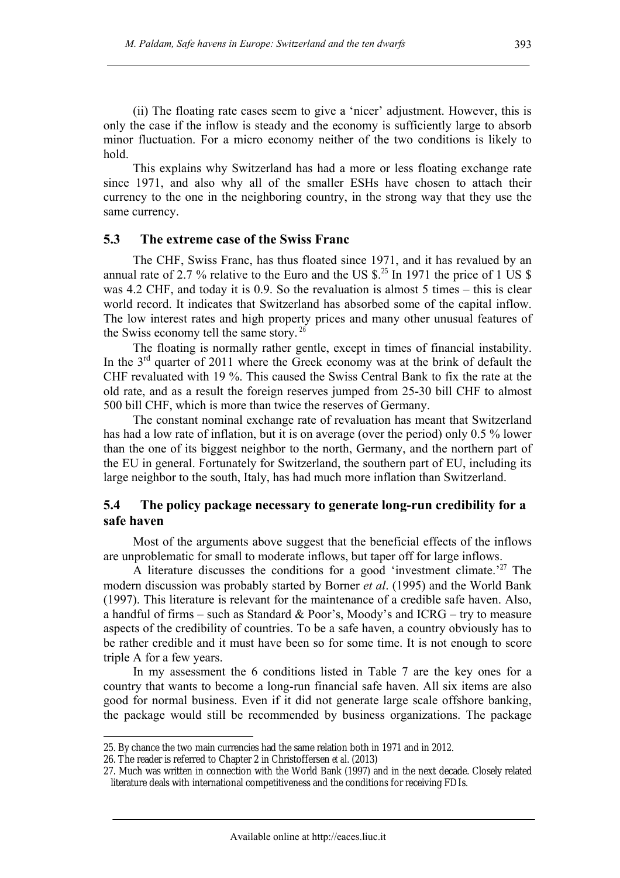(ii) The floating rate cases seem to give a 'nicer' adjustment. However, this is only the case if the inflow is steady and the economy is sufficiently large to absorb minor fluctuation. For a micro economy neither of the two conditions is likely to hold.

This explains why Switzerland has had a more or less floating exchange rate since 1971, and also why all of the smaller ESHs have chosen to attach their currency to the one in the neighboring country, in the strong way that they use the same currency.

## **5.3 The extreme case of the Swiss Franc**

The CHF, Swiss Franc, has thus floated since 1971, and it has revalued by an annual rate of 2.7 % relative to the Euro and the US  $\frac{25}{1}$  In 1971 the price of 1 US  $\frac{1}{5}$ was 4.2 CHF, and today it is 0.9. So the revaluation is almost 5 times – this is clear world record. It indicates that Switzerland has absorbed some of the capital inflow. The low interest rates and high property prices and many other unusual features of the Swiss economy tell the same story.*<sup>26</sup>*

The floating is normally rather gentle, except in times of financial instability. In the  $3<sup>rd</sup>$  quarter of 2011 where the Greek economy was at the brink of default the CHF revaluated with 19 %. This caused the Swiss Central Bank to fix the rate at the old rate, and as a result the foreign reserves jumped from 25-30 bill CHF to almost 500 bill CHF, which is more than twice the reserves of Germany.

The constant nominal exchange rate of revaluation has meant that Switzerland has had a low rate of inflation, but it is on average (over the period) only 0.5 % lower than the one of its biggest neighbor to the north, Germany, and the northern part of the EU in general. Fortunately for Switzerland, the southern part of EU, including its large neighbor to the south, Italy, has had much more inflation than Switzerland.

## **5.4 The policy package necessary to generate long-run credibility for a safe haven**

Most of the arguments above suggest that the beneficial effects of the inflows are unproblematic for small to moderate inflows, but taper off for large inflows.

A literature discusses the conditions for a good 'investment climate.'<sup>27</sup> The modern discussion was probably started by Borner *et al*. (1995) and the World Bank (1997). This literature is relevant for the maintenance of a credible safe haven. Also, a handful of firms – such as Standard  $& Poor's$ , Moody's and ICRG – try to measure aspects of the credibility of countries. To be a safe haven, a country obviously has to be rather credible and it must have been so for some time. It is not enough to score triple A for a few years.

In my assessment the 6 conditions listed in Table 7 are the key ones for a country that wants to become a long-run financial safe haven. All six items are also good for normal business. Even if it did not generate large scale offshore banking, the package would still be recommended by business organizations. The package

<sup>25.</sup> By chance the two main currencies had the same relation both in 1971 and in 2012.

<sup>26.</sup> The reader is referred to Chapter 2 in Christoffersen *et al*. (2013)

<sup>27.</sup> Much was written in connection with the World Bank (1997) and in the next decade. Closely related literature deals with international competitiveness and the conditions for receiving FDIs.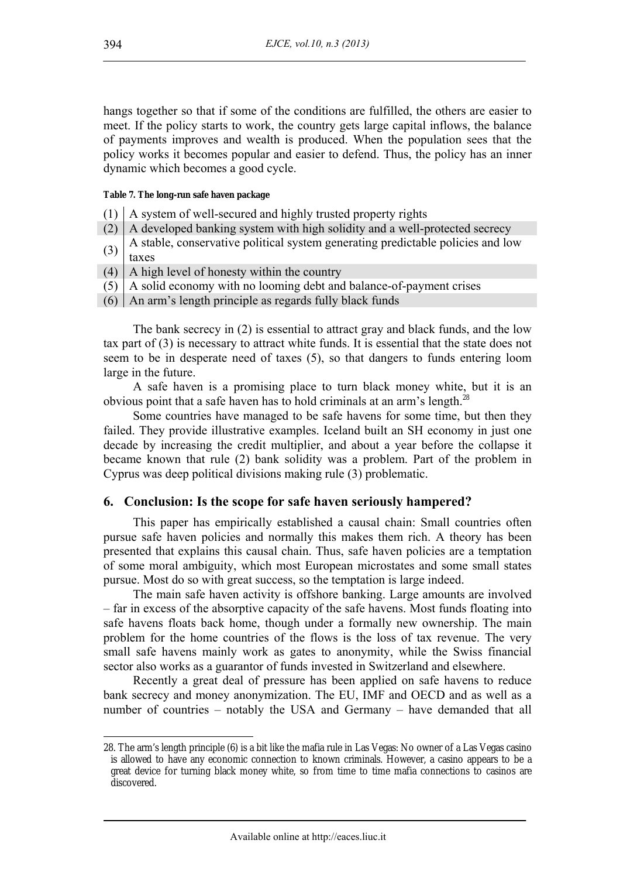hangs together so that if some of the conditions are fulfilled, the others are easier to meet. If the policy starts to work, the country gets large capital inflows, the balance of payments improves and wealth is produced. When the population sees that the policy works it becomes popular and easier to defend. Thus, the policy has an inner dynamic which becomes a good cycle.

#### **Table 7. The long-run safe haven package**

- $(1)$  A system of well-secured and highly trusted property rights
- $(2)$  A developed banking system with high solidity and a well-protected secrecy
- $(3)$  A stable, conservative political system generating predictable policies and low taxes
- $(4)$  A high level of honesty within the country
- $(5)$  A solid economy with no looming debt and balance-of-payment crises
- $(6)$  An arm's length principle as regards fully black funds

The bank secrecy in (2) is essential to attract gray and black funds, and the low tax part of (3) is necessary to attract white funds. It is essential that the state does not seem to be in desperate need of taxes (5), so that dangers to funds entering loom large in the future.

A safe haven is a promising place to turn black money white, but it is an obvious point that a safe haven has to hold criminals at an arm's length.<sup>28</sup>

Some countries have managed to be safe havens for some time, but then they failed. They provide illustrative examples. Iceland built an SH economy in just one decade by increasing the credit multiplier, and about a year before the collapse it became known that rule (2) bank solidity was a problem. Part of the problem in Cyprus was deep political divisions making rule (3) problematic.

#### **6. Conclusion: Is the scope for safe haven seriously hampered?**

This paper has empirically established a causal chain: Small countries often pursue safe haven policies and normally this makes them rich. A theory has been presented that explains this causal chain. Thus, safe haven policies are a temptation of some moral ambiguity, which most European microstates and some small states pursue. Most do so with great success, so the temptation is large indeed.

The main safe haven activity is offshore banking. Large amounts are involved – far in excess of the absorptive capacity of the safe havens. Most funds floating into safe havens floats back home, though under a formally new ownership. The main problem for the home countries of the flows is the loss of tax revenue. The very small safe havens mainly work as gates to anonymity, while the Swiss financial sector also works as a guarantor of funds invested in Switzerland and elsewhere.

Recently a great deal of pressure has been applied on safe havens to reduce bank secrecy and money anonymization. The EU, IMF and OECD and as well as a number of countries – notably the USA and Germany – have demanded that all

 $\overline{a}$ 28. The arm's length principle (6) is a bit like the mafia rule in Las Vegas: No owner of a Las Vegas casino is allowed to have any economic connection to known criminals. However, a casino appears to be a great device for turning black money white, so from time to time mafia connections to casinos are discovered.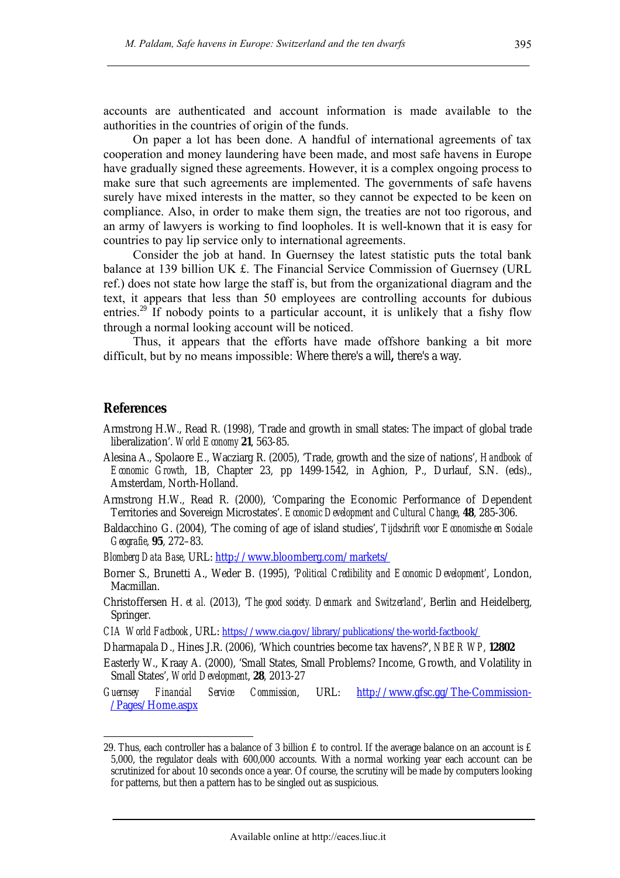accounts are authenticated and account information is made available to the authorities in the countries of origin of the funds.

On paper a lot has been done. A handful of international agreements of tax cooperation and money laundering have been made, and most safe havens in Europe have gradually signed these agreements. However, it is a complex ongoing process to make sure that such agreements are implemented. The governments of safe havens surely have mixed interests in the matter, so they cannot be expected to be keen on compliance. Also, in order to make them sign, the treaties are not too rigorous, and an army of lawyers is working to find loopholes. It is well-known that it is easy for countries to pay lip service only to international agreements.

Consider the job at hand. In Guernsey the latest statistic puts the total bank balance at 139 billion UK £. The Financial Service Commission of Guernsey (URL ref.) does not state how large the staff is, but from the organizational diagram and the text, it appears that less than 50 employees are controlling accounts for dubious entries.<sup>29</sup> If nobody points to a particular account, it is unlikely that a fishy flow through a normal looking account will be noticed.

Thus, it appears that the efforts have made offshore banking a bit more difficult, but by no means impossible: Where there's a will**,** there's a way.

#### **References**

 $\overline{a}$ 

Armstrong H.W., Read R. (1998), 'Trade and growth in small states: The impact of global trade liberalization'. *World Economy* **21**, 563-85.

Alesina A., Spolaore E., Wacziarg R. (2005), 'Trade, growth and the size of nations', *Handbook of Economic Growth*, 1B, Chapter 23, pp 1499-1542, in Aghion, P., Durlauf, S.N. (eds)., Amsterdam, North-Holland.

Armstrong H.W., Read R. (2000), 'Comparing the Economic Performance of Dependent Territories and Sovereign Microstates'. *Economic Development and Cultural Change*, **48**, 285-306.

Baldacchino G. (2004), 'The coming of age of island studies', *Tijdschrift voor Economische en Sociale Geografie*, **95**, 272–83.

*Blomberg Data Base*, URL: http://www.bloomberg.com/markets/

- Borner S., Brunetti A., Weder B. (1995), '*Political Credibility and Economic Development'*, London, Macmillan.
- Christoffersen H. *et al.* (2013), '*The good society. Denmark and Switzerland'*, Berlin and Heidelberg, Springer.

*CIA World Factbook*, URL: https://www.cia.gov/library/publications/the-world-factbook/

Dharmapala D., Hines J.R. (2006), 'Which countries become tax havens?', *NBER WP*, **12802**

Easterly W., Kraay A. (2000), 'Small States, Small Problems? Income, Growth, and Volatility in Small States', *World Development*, **28**, 2013-27

*Guernsey Financial Service Commission*, URL: http://www.gfsc.gg/The-Commission- /Pages/Home.aspx

<sup>29.</sup> Thus, each controller has a balance of 3 billion £ to control. If the average balance on an account is £ 5,000, the regulator deals with 600,000 accounts. With a normal working year each account can be scrutinized for about 10 seconds once a year. Of course, the scrutiny will be made by computers looking for patterns, but then a pattern has to be singled out as suspicious.